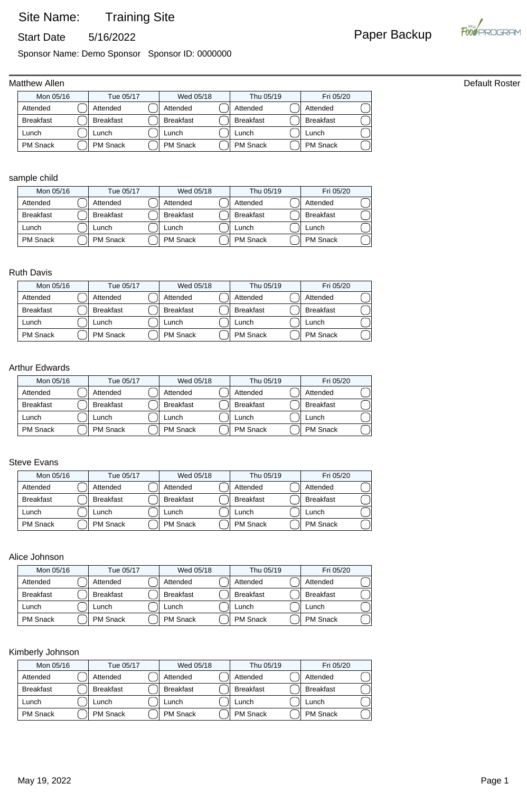## Site Name: Training Site

Start Date 5/16/2022 **Paper Backup** 

Sponsor Name: Demo Sponsor Sponsor ID: 0000000

### Matthew Allen **Default Roster**

| Mon 05/16        | Tue 05/17        | Wed 05/18        | Thu 05/19        | Fri 05/20        |  |
|------------------|------------------|------------------|------------------|------------------|--|
| Attended         | Attended         | Attended         | Attended         | Attended         |  |
| <b>Breakfast</b> | <b>Breakfast</b> | <b>Breakfast</b> | <b>Breakfast</b> | <b>Breakfast</b> |  |
| Lunch            | _unch            | Lunch            | Lunch            | Lunch            |  |
| <b>PM Snack</b>  | <b>PM Snack</b>  | <b>PM</b> Snack  | <b>PM Snack</b>  | <b>PM Snack</b>  |  |

### sample child

| Mon 05/16        | Tue 05/17        | Wed 05/18        | Thu 05/19        | Fri 05/20        |
|------------------|------------------|------------------|------------------|------------------|
| Attended         | Attended         | Attended         | Attended         | Attended         |
| <b>Breakfast</b> | <b>Breakfast</b> | <b>Breakfast</b> | <b>Breakfast</b> | <b>Breakfast</b> |
| Lunch            | Lunch            | Lunch            | Lunch            | Lunch            |
| PM Snack         | <b>PM Snack</b>  | <b>PM</b> Snack  | <b>PM Snack</b>  | <b>PM Snack</b>  |

### Ruth Davis

| Tue 05/17<br>Mon 05/16 |  | Wed 05/18        |  |                  | Fri 05/20 |                  |                  |  |
|------------------------|--|------------------|--|------------------|-----------|------------------|------------------|--|
| Attended               |  | Attended         |  | Attended         |           | Attended         | Attended         |  |
| <b>Breakfast</b>       |  | <b>Breakfast</b> |  | <b>Breakfast</b> |           | <b>Breakfast</b> | <b>Breakfast</b> |  |
| Lunch                  |  | Lunch            |  | ∟unch            |           | Lunch            | Lunch            |  |
| <b>PM Snack</b>        |  | <b>PM Snack</b>  |  | <b>PM Snack</b>  |           | <b>PM Snack</b>  | <b>PM Snack</b>  |  |

### Arthur Edwards

| Mon 05/16        | Tue 05/17        | Wed 05/18        | Thu 05/19        | Fri 05/20        |  |
|------------------|------------------|------------------|------------------|------------------|--|
| Attended         | Attended         | Attended         | Attended         | Attended         |  |
| <b>Breakfast</b> | <b>Breakfast</b> | <b>Breakfast</b> | <b>Breakfast</b> | <b>Breakfast</b> |  |
| Lunch            | ∟unch            | Lunch            | Lunch            | Lunch            |  |
| <b>PM Snack</b>  | PM Snack         | <b>PM Snack</b>  | <b>PM Snack</b>  | <b>PM Snack</b>  |  |

### Steve Evans

| Mon 05/16        | Tue 05/17        | Wed 05/18        | Thu 05/19        | Fri 05/20        |  |
|------------------|------------------|------------------|------------------|------------------|--|
| Attended         | Attended         | Attended         | Attended         | Attended         |  |
| <b>Breakfast</b> | <b>Breakfast</b> | <b>Breakfast</b> | <b>Breakfast</b> | <b>Breakfast</b> |  |
| Lunch            | unch.            | ∟unch            | Lunch            | Lunch            |  |
| <b>PM Snack</b>  | <b>PM Snack</b>  | <b>PM</b> Snack  | <b>PM Snack</b>  | PM Snack         |  |

### Alice Johnson

| Mon 05/16        | Tue 05/17        | Wed 05/18        | Thu 05/19        | Fri 05/20        |  |
|------------------|------------------|------------------|------------------|------------------|--|
| Attended         | Attended         | Attended         | Attended         | Attended         |  |
| <b>Breakfast</b> | <b>Breakfast</b> | <b>Breakfast</b> | <b>Breakfast</b> | <b>Breakfast</b> |  |
| Lunch            | Lunch.           | Lunch            | Lunch            | Lunch            |  |
| <b>PM Snack</b>  | <b>PM Snack</b>  | <b>PM Snack</b>  | <b>PM Snack</b>  | <b>PM Snack</b>  |  |

### Kimberly Johnson

| Mon 05/16        |  | Tue 05/17        |  | Wed 05/18        | Thu 05/19        | Fri 05/20        |  |
|------------------|--|------------------|--|------------------|------------------|------------------|--|
| Attended         |  | Attended         |  | Attended         | Attended         | Attended         |  |
| <b>Breakfast</b> |  | <b>Breakfast</b> |  | <b>Breakfast</b> | <b>Breakfast</b> | <b>Breakfast</b> |  |
| Lunch            |  | unch-            |  | _unch            | -unch            | Lunch            |  |
| <b>PM Snack</b>  |  | <b>PM Snack</b>  |  | <b>PM</b> Snack  | <b>PM Snack</b>  | <b>PM Snack</b>  |  |

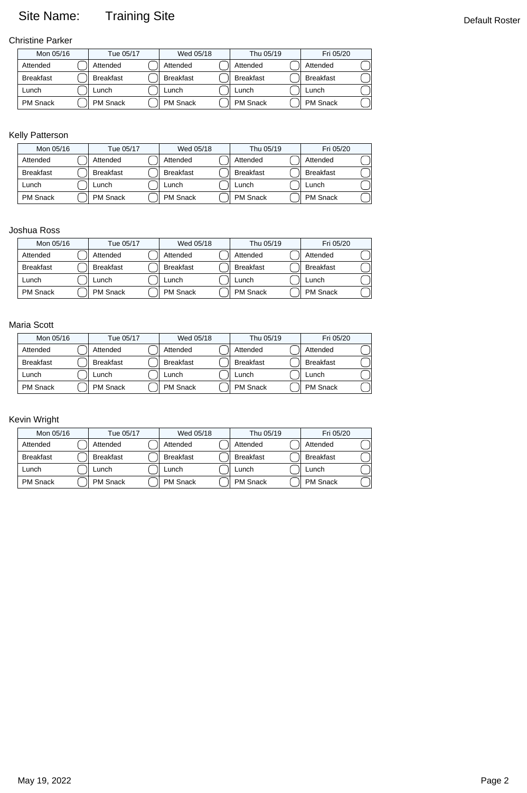# Site Name: Training Site **Default Roster** Default Roster

Christine Parker

| Mon 05/16        |  | Tue 05/17        |  | Wed 05/18        | Thu 05/19        | Fri 05/20        |  |
|------------------|--|------------------|--|------------------|------------------|------------------|--|
| Attended         |  | Attended         |  | Attended         | Attended         | Attended         |  |
| <b>Breakfast</b> |  | <b>Breakfast</b> |  | <b>Breakfast</b> | <b>Breakfast</b> | <b>Breakfast</b> |  |
| Lunch            |  | _unch            |  | -unch            | Lunch            | Lunch            |  |
| <b>PM Snack</b>  |  | <b>PM Snack</b>  |  | <b>PM Snack</b>  | <b>PM</b> Snack  | <b>PM Snack</b>  |  |

### Kelly Patterson

| Mon 05/16        |  | Tue 05/17        | Wed 05/18        | Thu 05/19        | Fri 05/20        |  |
|------------------|--|------------------|------------------|------------------|------------------|--|
| Attended         |  | Attended         | Attended         | Attended         | Attended         |  |
| <b>Breakfast</b> |  | <b>Breakfast</b> | <b>Breakfast</b> | <b>Breakfast</b> | <b>Breakfast</b> |  |
| Lunch            |  | unch.            | _unch            | unch-            | Lunch            |  |
| <b>PM Snack</b>  |  | <b>PM Snack</b>  | <b>PM</b> Snack  | <b>PM Snack</b>  | <b>PM Snack</b>  |  |

### Joshua Ross

| Mon 05/16        |  | Tue 05/17        |  | Wed 05/18        | Thu 05/19        | Fri 05/20        |  |
|------------------|--|------------------|--|------------------|------------------|------------------|--|
| Attended         |  | Attended         |  | Attended         | Attended         | Attended         |  |
| <b>Breakfast</b> |  | <b>Breakfast</b> |  | <b>Breakfast</b> | <b>Breakfast</b> | <b>Breakfast</b> |  |
| Lunch            |  | ∟unch            |  | Lunch            | ∟unch            | Lunch            |  |
| <b>PM Snack</b>  |  | <b>PM Snack</b>  |  | <b>PM</b> Snack  | <b>PM Snack</b>  | PM Snack         |  |

### Maria Scott

| Mon 05/16        | Tue 05/17        | Wed 05/18        | Thu 05/19        | Fri 05/20        |  |
|------------------|------------------|------------------|------------------|------------------|--|
| Attended         | Attended         | Attended         | Attended         | Attended         |  |
| <b>Breakfast</b> | <b>Breakfast</b> | <b>Breakfast</b> | <b>Breakfast</b> | <b>Breakfast</b> |  |
| Lunch            | _unch            | Lunch            | Lunch            | Lunch            |  |
| <b>PM Snack</b>  | <b>PM Snack</b>  | <b>PM</b> Snack  | <b>PM Snack</b>  | <b>PM Snack</b>  |  |

### Kevin Wright

|                  | Mon 05/16<br>Tue 05/17 |                  | Wed 05/18 |                  | Thu 05/19        | Fri 05/20        |  |
|------------------|------------------------|------------------|-----------|------------------|------------------|------------------|--|
|                  |                        |                  |           |                  |                  |                  |  |
| Attended         |                        | Attended         |           | Attended         | Attended         | Attended         |  |
| <b>Breakfast</b> |                        | <b>Breakfast</b> |           | <b>Breakfast</b> | <b>Breakfast</b> | <b>Breakfast</b> |  |
| Lunch            |                        | _unch            |           | ∟unch            | Lunch            | Lunch            |  |
| <b>PM Snack</b>  |                        | <b>PM Snack</b>  |           | <b>PM Snack</b>  | <b>PM Snack</b>  | <b>PM Snack</b>  |  |